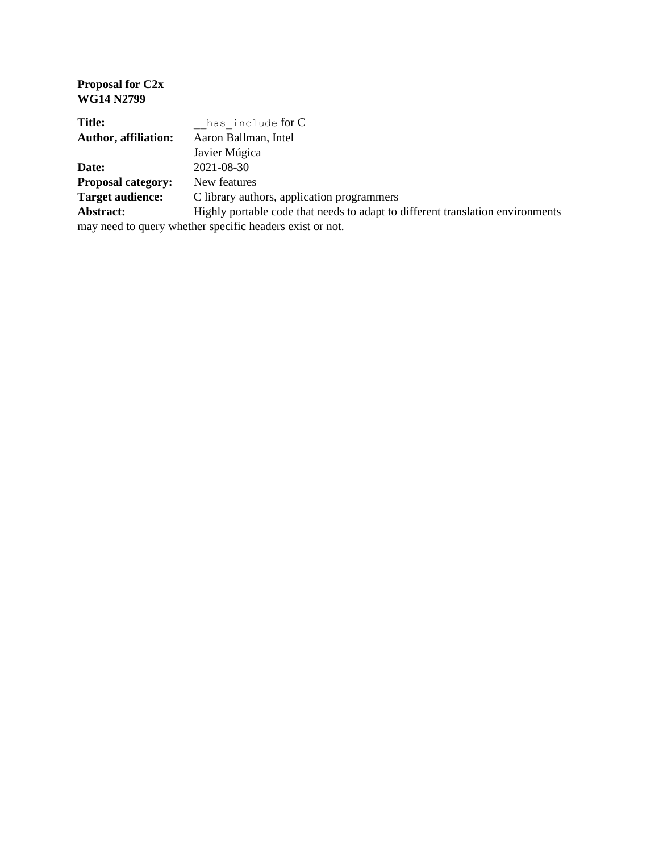| <b>WG14 N2799</b>                                        |                                                                                |
|----------------------------------------------------------|--------------------------------------------------------------------------------|
| <b>Title:</b>                                            | has include for C                                                              |
| <b>Author, affiliation:</b>                              | Aaron Ballman, Intel                                                           |
|                                                          | Javier Múgica                                                                  |
| Date:                                                    | 2021-08-30                                                                     |
| <b>Proposal category:</b>                                | New features                                                                   |
| <b>Target audience:</b>                                  | C library authors, application programmers                                     |
| Abstract:                                                | Highly portable code that needs to adapt to different translation environments |
| may need to query whether specific headers exist or not. |                                                                                |
|                                                          |                                                                                |

**Proposal for C2x**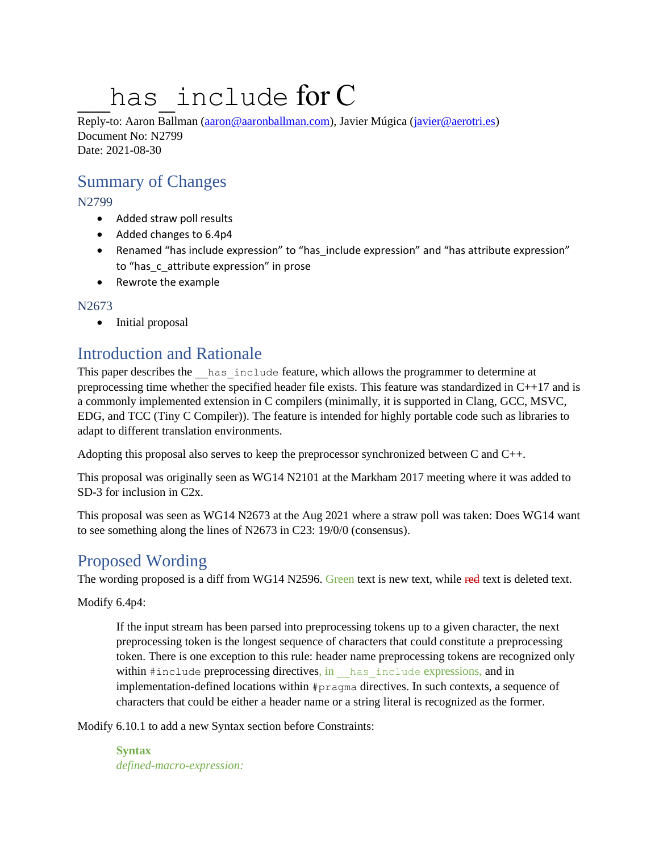# has include for C

Reply-to: Aaron Ballman [\(aaron@aaronballman.com\)](mailto:aaron@aaronballman.com), Javier Múgica [\(javier@aerotri.es\)](mailto:javier@aerotri.es) Document No: N2799 Date: 2021-08-30

### Summary of Changes

N2799

- Added straw poll results
- Added changes to 6.4p4
- Renamed "has include expression" to "has include expression" and "has attribute expression" to "has c attribute expression" in prose
- Rewrote the example

N2673

• Initial proposal

## Introduction and Rationale

This paper describes the has include feature, which allows the programmer to determine at preprocessing time whether the specified header file exists. This feature was standardized in C++17 and is a commonly implemented extension in C compilers (minimally, it is supported in Clang, GCC, MSVC, EDG, and TCC (Tiny C Compiler)). The feature is intended for highly portable code such as libraries to adapt to different translation environments.

Adopting this proposal also serves to keep the preprocessor synchronized between C and C++.

This proposal was originally seen as WG14 N2101 at the Markham 2017 meeting where it was added to SD-3 for inclusion in C2x.

This proposal was seen as WG14 N2673 at the Aug 2021 where a straw poll was taken: Does WG14 want to see something along the lines of N2673 in C23: 19/0/0 (consensus).

## Proposed Wording

The wording proposed is a diff from WG14 N2596. Green text is new text, while red text is deleted text.

Modify 6.4p4:

If the input stream has been parsed into preprocessing tokens up to a given character, the next preprocessing token is the longest sequence of characters that could constitute a preprocessing token. There is one exception to this rule: header name preprocessing tokens are recognized only within #include preprocessing directives, in has include expressions, and in implementation-defined locations within #pragma directives. In such contexts, a sequence of characters that could be either a header name or a string literal is recognized as the former.

Modify 6.10.1 to add a new Syntax section before Constraints:

**Syntax** *defined-macro-expression:*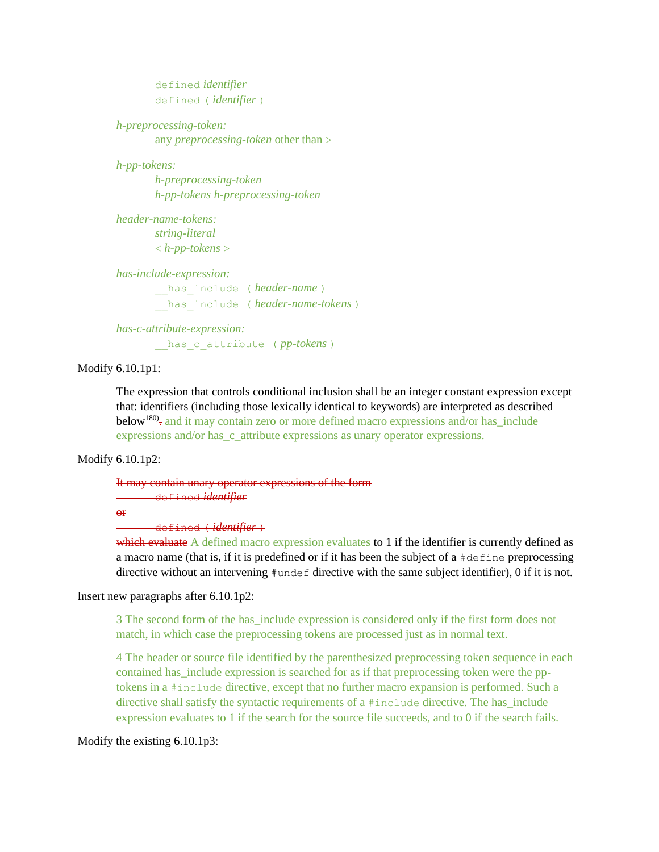```
defined identifier
defined ( identifier )
```
*h-preprocessing-token:* any *preprocessing-token* other than >

*h-pp-tokens:*

*h-preprocessing-token h-pp-tokens h-preprocessing-token*

*header-name-tokens: string-literal* < *h-pp-tokens* >

*has-include-expression:*

has include ( *header-name* ) has include ( *header-name-tokens* )

*has-c-attribute-expression:* has c attribute ( *pp-tokens* )

Modify 6.10.1p1:

The expression that controls conditional inclusion shall be an integer constant expression except that: identifiers (including those lexically identical to keywords) are interpreted as described below<sup>180)</sup>, and it may contain zero or more defined macro expressions and/or has\_include expressions and/or has\_c\_attribute expressions as unary operator expressions.

Modify 6.10.1p2:

#### It may contain unary operator expressions of the form defined *identifier*

or

defined ( *identifier* )

which evaluate A defined macro expression evaluates to 1 if the identifier is currently defined as a macro name (that is, if it is predefined or if it has been the subject of a  $\#$ define preprocessing directive without an intervening  $\#$ undef directive with the same subject identifier), 0 if it is not.

Insert new paragraphs after 6.10.1p2:

3 The second form of the has\_include expression is considered only if the first form does not match, in which case the preprocessing tokens are processed just as in normal text.

4 The header or source file identified by the parenthesized preprocessing token sequence in each contained has include expression is searched for as if that preprocessing token were the pptokens in a #include directive, except that no further macro expansion is performed. Such a directive shall satisfy the syntactic requirements of a #include directive. The has\_include expression evaluates to 1 if the search for the source file succeeds, and to 0 if the search fails.

Modify the existing 6.10.1p3: